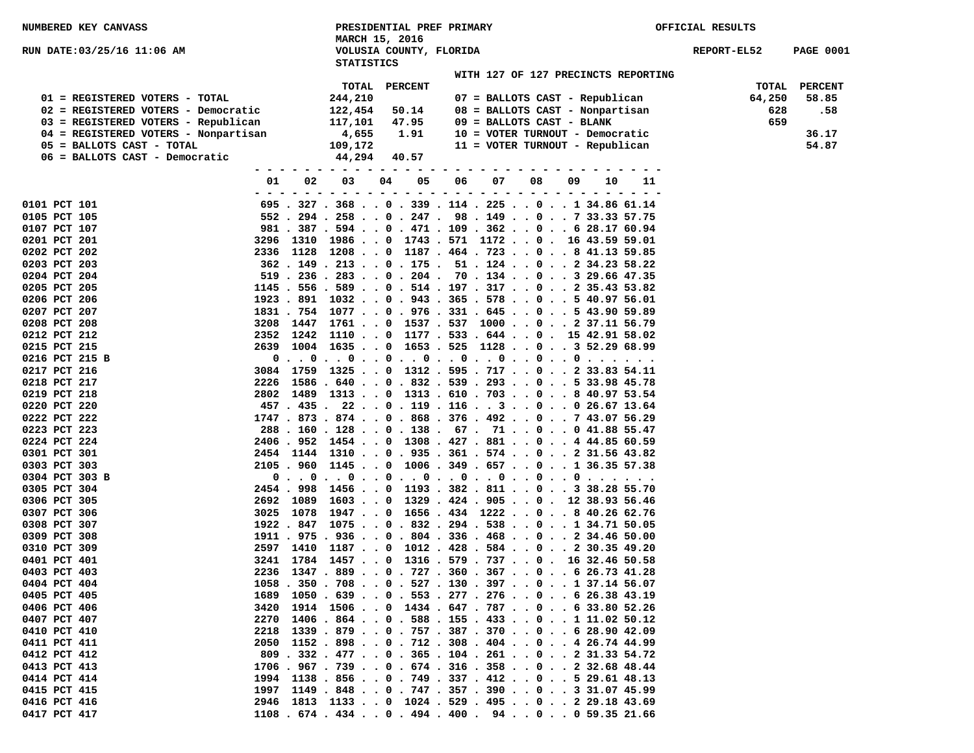| NUMBERED KEY CANVASS                 |    |    | PRESIDENTIAL PREF PRIMARY<br>MARCH 15, 2016                                    |      |                |    |    |    |                                 |                                     | OFFICIAL RESULTS |                  |
|--------------------------------------|----|----|--------------------------------------------------------------------------------|------|----------------|----|----|----|---------------------------------|-------------------------------------|------------------|------------------|
| RUN DATE:03/25/16 11:06 AM           |    |    | VOLUSIA COUNTY, FLORIDA<br><b>STATISTICS</b>                                   |      |                |    |    |    |                                 |                                     | REPORT-EL52      | <b>PAGE 0001</b> |
|                                      |    |    |                                                                                |      |                |    |    |    |                                 | WITH 127 OF 127 PRECINCTS REPORTING |                  |                  |
|                                      |    |    | TOTAL                                                                          |      | <b>PERCENT</b> |    |    |    |                                 |                                     | TOTAL            | <b>PERCENT</b>   |
| 01 = REGISTERED VOTERS - TOTAL       |    |    | 244,210                                                                        |      |                |    |    |    | 07 = BALLOTS CAST - Republican  |                                     | 64,250           | 58.85            |
| 02 = REGISTERED VOTERS - Democratic  |    |    | 122,454                                                                        |      | 50.14          |    |    |    | 08 = BALLOTS CAST - Nonpartisan |                                     | 628              | .58              |
| 03 = REGISTERED VOTERS - Republican  |    |    | 117,101                                                                        |      | 47.95          |    |    |    | 09 = BALLOTS CAST - BLANK       |                                     | 659              |                  |
| 04 = REGISTERED VOTERS - Nonpartisan |    |    | 4,655                                                                          |      | 1.91           |    |    |    | 10 = VOTER TURNOUT - Democratic |                                     |                  | 36.17            |
| 05 = BALLOTS CAST - TOTAL            |    |    | 109,172                                                                        |      |                |    |    |    | 11 = VOTER TURNOUT - Republican |                                     |                  | 54.87            |
| 06 = BALLOTS CAST - Democratic       |    |    | 44,294                                                                         |      | 40.57          |    |    |    |                                 |                                     |                  |                  |
|                                      |    |    | - - - - - -                                                                    | $ -$ |                |    |    |    |                                 |                                     |                  |                  |
|                                      | 01 | 02 | 03                                                                             | 04   | 05             | 06 | 07 | 08 | 09<br>10                        | 11                                  |                  |                  |
| 0101 PCT 101                         |    |    | 695 . 327 . 368 0 . 339 . 114 . 225 0 1 34.86 61.14                            |      |                |    |    |    |                                 |                                     |                  |                  |
| 0105 PCT 105                         |    |    | 552. 294. 258. . 0. 247. 98. 149. . 0. . 7 33.33 57.75                         |      |                |    |    |    |                                 |                                     |                  |                  |
| 0107 PCT 107                         |    |    | 981 . 387 . 594 0 . 471 . 109 . 362 0 6 28.17 60.94                            |      |                |    |    |    |                                 |                                     |                  |                  |
| 0201 PCT 201                         |    |    | 3296 1310 1986 0 1743 . 571 1172 0 . 16 43.59 59.01                            |      |                |    |    |    |                                 |                                     |                  |                  |
| 0202 PCT 202                         |    |    | 2336 1128 1208 0 1187 . 464 . 723 0 8 41.13 59.85                              |      |                |    |    |    |                                 |                                     |                  |                  |
| 0203 PCT 203                         |    |    | 362 . 149 . 213 0 . 175 . 51 . 124 0 2 34.23 58.22                             |      |                |    |    |    |                                 |                                     |                  |                  |
| 0204 PCT 204                         |    |    | $519$ . 236 . 283 0 . 204 . 70 . 134 0 3 29.66 47.35                           |      |                |    |    |    |                                 |                                     |                  |                  |
| 0205 PCT 205                         |    |    | $1145$ . 556 . 589 0 . 514 . 197 . 317 0 2 35.43 53.82                         |      |                |    |    |    |                                 |                                     |                  |                  |
| 0206 PCT 206                         |    |    | 1923 . 891 1032 0 . 943 . 365 . 578 0 5 40.97 56.01                            |      |                |    |    |    |                                 |                                     |                  |                  |
| 0207 PCT 207                         |    |    | 1831 . 754 1077 0 . 976 . 331 . 645 0 5 43.90 59.89                            |      |                |    |    |    |                                 |                                     |                  |                  |
| 0208 PCT 208                         |    |    | 3208 1447 1761 0 1537 . 537 1000 0 2 37.11 56.79                               |      |                |    |    |    |                                 |                                     |                  |                  |
| 0212 PCT 212                         |    |    | 2352 1242 11100 1177.533.6440. 15 42.91 58.02                                  |      |                |    |    |    |                                 |                                     |                  |                  |
| 0215 PCT 215                         |    |    | 2639 1004 1635 0 1653 . 525 1128 0 3 52.29 68.99                               |      |                |    |    |    |                                 |                                     |                  |                  |
| 0216 PCT 215 B                       |    |    | 0 0 0 0 0 0 0 0                                                                |      |                |    |    |    |                                 |                                     |                  |                  |
| 0217 PCT 216                         |    |    | 3084 1759 1325 0 1312 . 595 . 717 0 2 33.83 54.11                              |      |                |    |    |    |                                 |                                     |                  |                  |
| 0218 PCT 217                         |    |    | 2226 1586 . 640 0 . 832 . 539 . 293 0 5 33.98 45.78                            |      |                |    |    |    |                                 |                                     |                  |                  |
| 0219 PCT 218                         |    |    | 2802 1489 1313 0 1313 . 610 . 703 0 8 40.97 53.54                              |      |                |    |    |    |                                 |                                     |                  |                  |
| 0220 PCT 220                         |    |    | 457 . 435 . 22 0 . 119 . 116 3 0 0 26.67 13.64                                 |      |                |    |    |    |                                 |                                     |                  |                  |
| 0222 PCT 222                         |    |    | $1747$ , $873$ , $874$ , , 0 , $868$ , $376$ , $492$ , , 0 , , 7 43.07 56.29   |      |                |    |    |    |                                 |                                     |                  |                  |
| 0223 PCT 223                         |    |    | 288 . 160 . 128 0 . 138 . 67 . 71 0 0 41.88 55.47                              |      |                |    |    |    |                                 |                                     |                  |                  |
| 0224 PCT 224                         |    |    | 2406 . 952 1454 0 1308 . 427 . 881 0 4 44.85 60.59                             |      |                |    |    |    |                                 |                                     |                  |                  |
| 0301 PCT 301                         |    |    | 2454 1144 1310 0 . 935 . 361 . 574 0 2 31.56 43.82                             |      |                |    |    |    |                                 |                                     |                  |                  |
| 0303 PCT 303                         |    |    | 2105 . 960 1145 0 1006 . 349 . 657 0 1 36.35 57.38                             |      |                |    |    |    |                                 |                                     |                  |                  |
| 0304 PCT 303 B                       |    |    | 0 0 0 0 0 0 0 0 0                                                              |      |                |    |    |    |                                 |                                     |                  |                  |
| 0305 PCT 304                         |    |    | 2454 . 998 1456 0 1193 . 382 . 811 0 3 38.28 55.70                             |      |                |    |    |    |                                 |                                     |                  |                  |
| 0306 PCT 305                         |    |    | 2692 1089 1603 0 1329 . 424 . 905 0 . 12 38.93 56.46                           |      |                |    |    |    |                                 |                                     |                  |                  |
| 0307 PCT 306                         |    |    | 3025 1078 1947 0 1656 . 434 1222 0 8 40.26 62.76                               |      |                |    |    |    |                                 |                                     |                  |                  |
| 0308 PCT 307                         |    |    | 1922 . 847 1075 0 . 832 . 294 . 538 0 1 34.71 50.05                            |      |                |    |    |    |                                 |                                     |                  |                  |
| 0309 PCT 308                         |    |    | 1911 . 975 . 936 0 . 804 . 336 . 468 0 2 34.46 50.00                           |      |                |    |    |    |                                 |                                     |                  |                  |
| 0310 PCT 309                         |    |    | 2597 1410 11870 1012.428.58402 30.35 49.20                                     |      |                |    |    |    |                                 |                                     |                  |                  |
| 0401 PCT 401                         |    |    | 3241 1784 1457 0 1316 . 579 . 737 0 . 16 32.46 50.58                           |      |                |    |    |    |                                 |                                     |                  |                  |
| 0403 PCT 403                         |    |    | 2236 1347 . 889 0 . 727 . 360 . 367 0 6 26.73 41.28                            |      |                |    |    |    |                                 |                                     |                  |                  |
| 0404 PCT 404                         |    |    | $1058$ , $350$ , $708$ , , 0 , $527$ , $130$ , $397$ , , 0 , , 1 37, 14 56, 07 |      |                |    |    |    |                                 |                                     |                  |                  |
| 0405 PCT 405                         |    |    | 1689 1050 . 639 0 . 553 . 277 . 276 0 6 26.38 43.19                            |      |                |    |    |    |                                 |                                     |                  |                  |
| 0406 PCT 406                         |    |    | 3420 1914 1506 0 1434 . 647 . 787 0 6 33.80 52.26                              |      |                |    |    |    |                                 |                                     |                  |                  |
| 0407 PCT 407                         |    |    | 2270 1406 . 864 0 . 588 . 155 . 433 0 1 11.02 50.12                            |      |                |    |    |    |                                 |                                     |                  |                  |
| 0410 PCT 410                         |    |    | 2218 1339 . 879 0 . 757 . 387 . 370 0 6 28.90 42.09                            |      |                |    |    |    |                                 |                                     |                  |                  |
| 0411 PCT 411                         |    |    | 2050 1152 . 898 0 . 712 . 308 . 404 0 4 26.74 44.99                            |      |                |    |    |    |                                 |                                     |                  |                  |
| 0412 PCT 412                         |    |    | 809 . 332 . 477 0 . 365 . 104 . 261 0 2 31.33 54.72                            |      |                |    |    |    |                                 |                                     |                  |                  |
| 0413 PCT 413                         |    |    | $1706$ . 967 . 739 0 . 674 . 316 . 358 0 2 32.68 48.44                         |      |                |    |    |    |                                 |                                     |                  |                  |
| 0414 PCT 414                         |    |    | 1994 1138 . 856 0 . 749 . 337 . 412 0 5 29.61 48.13                            |      |                |    |    |    |                                 |                                     |                  |                  |
| 0415 PCT 415                         |    |    | 1997 1149 . 848 0 . 747 . 357 . 390 0 3 31.07 45.99                            |      |                |    |    |    |                                 |                                     |                  |                  |
| 0416 PCT 416                         |    |    | 2946 1813 1133 0 1024 . 529 . 495 0 2 29.18 43.69                              |      |                |    |    |    |                                 |                                     |                  |                  |
| 0417 PCT 417                         |    |    | $1108.674.434.0.494.400.94.00.059.3521.66$                                     |      |                |    |    |    |                                 |                                     |                  |                  |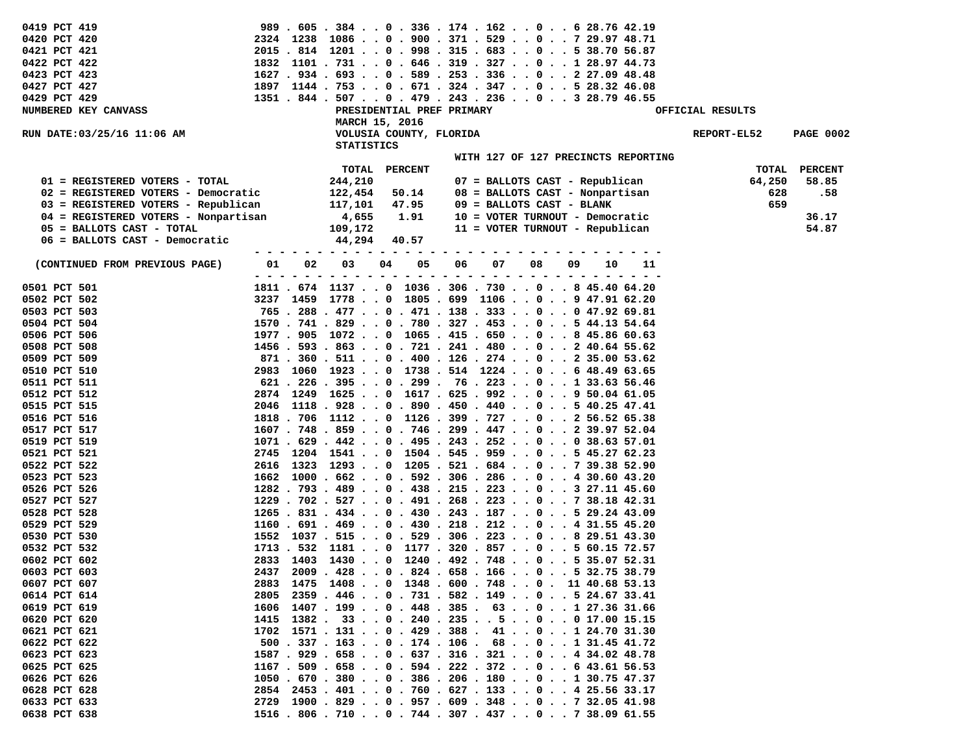| 0419 PCT 419                         |                |                           |                | 989 . 605 . 384 0 . 336 . 174 . 162 0 6 28.76 42.19                                                            |                  |                  |
|--------------------------------------|----------------|---------------------------|----------------|----------------------------------------------------------------------------------------------------------------|------------------|------------------|
| 0420 PCT 420                         |                |                           |                | 2324 1238 1086 0 . 900 . 371 . 529 0 7 29.97 48.71                                                             |                  |                  |
| 0421 PCT 421                         |                |                           |                | 2015 . 814 1201 0 . 998 . 315 . 683 0 5 38.70 56.87                                                            |                  |                  |
| 0422 PCT 422                         |                |                           |                | $1832$ 1101 . 731 0 . 646 . 319 . 327 0 1 28.97 44.73                                                          |                  |                  |
| 0423 PCT 423                         |                |                           |                | $1627$ , $934$ , $693$ , , 0 , 589 , 253 , 336 , , 0 , , 2 27.09 48.48                                         |                  |                  |
| 0427 PCT 427                         |                |                           |                | 1897 1144 . 753 0 . 671 . 324 . 347 0 5 28.32 46.08                                                            |                  |                  |
| 0429 PCT 429                         |                |                           |                | 1351 . 844 . 507 0 . 479 . 243 . 236 0 3 28.79 46.55                                                           |                  |                  |
| NUMBERED KEY CANVASS                 |                | PRESIDENTIAL PREF PRIMARY |                |                                                                                                                | OFFICIAL RESULTS |                  |
|                                      |                | MARCH 15, 2016            |                |                                                                                                                |                  |                  |
| RUN DATE:03/25/16 11:06 AM           |                | VOLUSIA COUNTY, FLORIDA   |                |                                                                                                                | REPORT-EL52      | <b>PAGE 0002</b> |
|                                      |                | <b>STATISTICS</b>         |                |                                                                                                                |                  |                  |
|                                      |                |                           |                | WITH 127 OF 127 PRECINCTS REPORTING                                                                            |                  |                  |
|                                      |                |                           |                |                                                                                                                |                  |                  |
|                                      |                | TOTAL                     | <b>PERCENT</b> |                                                                                                                | TOTAL            | <b>PERCENT</b>   |
| 01 = REGISTERED VOTERS - TOTAL       |                | 244,210                   |                | 07 = BALLOTS CAST - Republican                                                                                 | 64,250           | 58.85            |
| 02 = REGISTERED VOTERS - Democratic  |                | 122,454                   | 50.14          | 08 = BALLOTS CAST - Nonpartisan                                                                                | 628              | .58              |
| 03 = REGISTERED VOTERS - Republican  |                | 117,101                   | 47.95          | 09 = BALLOTS CAST - BLANK                                                                                      | 659              |                  |
| 04 = REGISTERED VOTERS - Nonpartisan |                | 4,655                     | 1.91           | 10 = VOTER TURNOUT - Democratic                                                                                |                  | 36.17            |
| 05 = BALLOTS CAST - TOTAL            |                | 109,172                   |                | 11 = VOTER TURNOUT - Republican                                                                                |                  | 54.87            |
| 06 = BALLOTS CAST - Democratic       |                | 44,294                    | 40.57          |                                                                                                                |                  |                  |
|                                      |                |                           |                |                                                                                                                |                  |                  |
| (CONTINUED FROM PREVIOUS PAGE)       | 01<br>02       | 03<br>04                  | 05<br>06       | 07<br>08<br>09<br>10                                                                                           | 11               |                  |
|                                      | $ -$<br>$\sim$ | - - - - - - - - -         |                | - - - - - - - - - - - - -                                                                                      |                  |                  |
| 0501 PCT 501                         |                |                           |                | 1811 . 674 1137 0 1036 . 306 . 730 0 8 45.40 64.20                                                             |                  |                  |
| 0502 PCT 502                         |                |                           |                | 3237 1459 17780 1805.699 110609 47.91 62.20                                                                    |                  |                  |
| 0503 PCT 503                         |                |                           |                | 765 . 288 . 477 0 . 471 . 138 . 333 0 0 47.92 69.81                                                            |                  |                  |
| 0504 PCT 504                         |                |                           |                | 1570 . 741 . 829 0 . 780 . 327 . 453 0 5 44.13 54.64                                                           |                  |                  |
| 0506 PCT 506                         |                |                           |                | 1977 . 905 1072 0 1065 . 415 . 650 0 8 45.86 60.63                                                             |                  |                  |
| 0508 PCT 508                         |                |                           |                | $1456$ , $593$ , $863$ , , 0 , $721$ , $241$ , $480$ , , 0 , , 2 $40.64$ 55.62                                 |                  |                  |
| 0509 PCT 509                         |                |                           |                | 871 . 360 . 511 0 . 400 . 126 . 274 0 2 35.00 53.62                                                            |                  |                  |
| 0510 PCT 510                         |                |                           |                | 2983 1060 1923 0 1738 . 514 1224 0 6 48.49 63.65                                                               |                  |                  |
| 0511 PCT 511                         |                |                           |                | 621 . 226 . 395 0 . 299 . 76 . 223 0 1 33.63 56.46                                                             |                  |                  |
| 0512 PCT 512                         |                |                           |                | 2874 1249 1625 0 1617 . 625 . 992 0 9 50.04 61.05                                                              |                  |                  |
| 0515 PCT 515                         |                |                           |                | $2046$ 1118 . 928 0 . 890 . 450 . 440 0 5 40.25 47.41                                                          |                  |                  |
| 0516 PCT 516                         |                |                           |                | 1818 . 706 1112 0 1126 . 399 . 727 0 2 56.52 65.38                                                             |                  |                  |
| 0517 PCT 517                         |                |                           |                | 1607 . 748 . 859 0 . 746 . 299 . 447 0 2 39.97 52.04                                                           |                  |                  |
| 0519 PCT 519                         |                |                           |                | $1071$ , $629$ , $442$ , , 0 , $495$ , $243$ , $252$ , , 0 , , 0 38.63 57.01                                   |                  |                  |
| 0521 PCT 521                         |                |                           |                | 2745 1204 1541 0 1504 . 545 . 959 0 5 45.27 62.23                                                              |                  |                  |
| 0522 PCT 522                         | 2616           |                           |                | $1323$ $1293$ $\ldots$ 0 $1205$ $\ldots$ $521$ $\ldots$ $684$ $\ldots$ 0 $\ldots$ 7 39.38 52.90                |                  |                  |
| 0523 PCT 523                         |                |                           |                | $1662$ 1000 $.662$ $.0$ $.592$ $.306$ $.286$ $.0$ $.4$ 30.60 43.20                                             |                  |                  |
|                                      |                |                           |                |                                                                                                                |                  |                  |
| 0526 PCT 526                         |                |                           |                | $1282$ , $793$ , $489$ , , 0 , $438$ , $215$ , $223$ , , 0 , , 3 27, 11 45, 60                                 |                  |                  |
| 0527 PCT 527                         |                |                           |                | $1229$ . 702 . 527 0 . 491 . 268 . 223 0 7 38.18 42.31<br>1265 . 831 . 434 0 . 430 . 243 . 187 0 5 29.24 43.09 |                  |                  |
| 0528 PCT 528                         |                |                           |                |                                                                                                                |                  |                  |
| 0529 PCT 529                         |                |                           |                | $1160.691.469.00.430.218.212.00.431.55 45.20$                                                                  |                  |                  |
| 0530 PCT 530                         |                |                           |                | 1552 1037 . 515 0 . 529 . 306 . 223 0 8 29.51 43.30                                                            |                  |                  |
| 0532 PCT 532                         |                |                           |                | $1713$ . 532 1181 0 1177 . 320 . 857 0 5 60.15 72.57                                                           |                  |                  |
| 0602 PCT 602                         |                |                           |                | 2833 1403 1430 0 1240 . 492 . 748 0 5 35.07 52.31                                                              |                  |                  |
| 0603 PCT 603                         |                |                           |                | 2437 2009 . 428 0 . 824 . 658 . 166 0 5 32.75 38.79                                                            |                  |                  |
| 0607 PCT 607                         |                |                           |                | 2883 1475 1408 0 1348 . 600 . 748 0 . 11 40.68 53.13                                                           |                  |                  |
| 0614 PCT 614                         | 2805           |                           |                | 2359 . 446 0 . 731 . 582 . 149 0 5 24.67 33.41                                                                 |                  |                  |
| 0619 PCT 619                         |                |                           |                | 1606 1407 . 199 0 . 448 . 385 . 63 0 1 27.36 31.66                                                             |                  |                  |
| 0620 PCT 620                         |                |                           |                | 1415 1382 . 33 0 . 240 . 235 5 0 0 17.00 15.15                                                                 |                  |                  |
| 0621 PCT 621                         |                |                           |                | $1702$ $1571$ $. 131$ $. 0$ $. 429$ $. 388$ $. 41$ $. 0$ $. 1$ $24.70$ $31.30$                                 |                  |                  |
| 0622 PCT 622                         |                |                           |                | $500$ . 337 . 163 0 . 174 . 106 . 68 0 1 31.45 41.72                                                           |                  |                  |
| 0623 PCT 623                         |                |                           |                | 1587 . 929 . 658 0 . 637 . 316 . 321 0 4 34.02 48.78                                                           |                  |                  |
| 0625 PCT 625                         |                |                           |                | $1167.509.658.0.594.222.372.00.643.6156.53$                                                                    |                  |                  |
| 0626 PCT 626                         |                |                           |                | 1050 . 670 . 380 0 . 386 . 206 . 180 0 1 30.75 47.37                                                           |                  |                  |
| 0628 PCT 628                         |                |                           |                | 2854 2453 . 401 0 . 760 . 627 . 133 0 4 25.56 33.17                                                            |                  |                  |
| 0633 PCT 633                         |                |                           |                | 2729 1900 . 829 0 . 957 . 609 . 348 0 7 32.05 41.98                                                            |                  |                  |
| 0638 PCT 638                         |                |                           |                | 1516 . 806 . 710 0 . 744 . 307 . 437 0 7 38.09 61.55                                                           |                  |                  |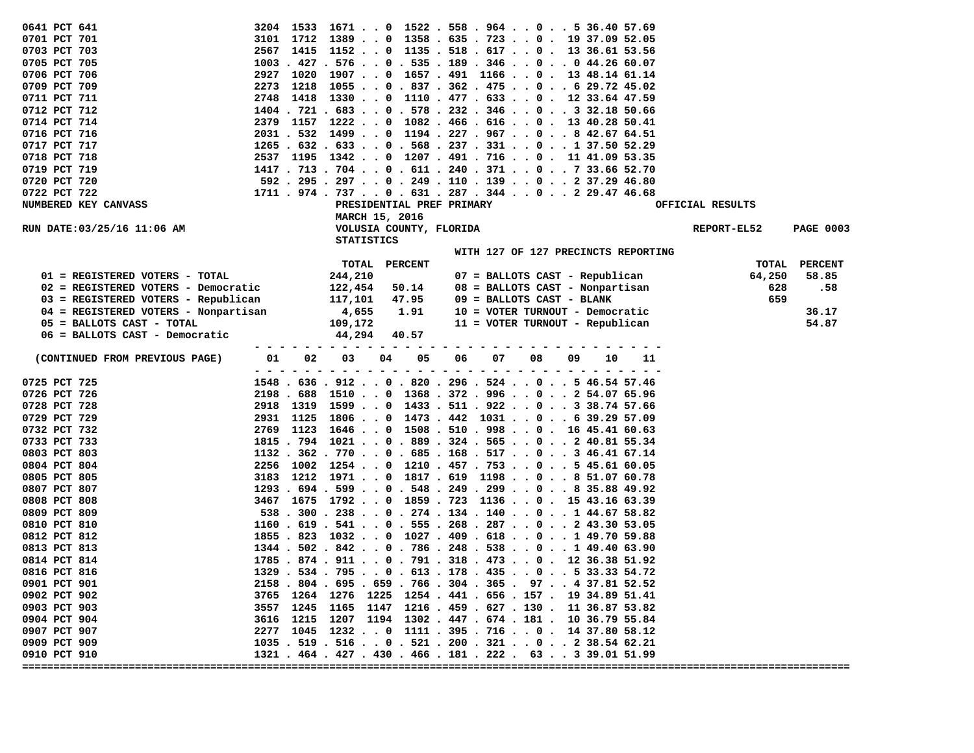| 0641 PCT 641                         |           | 3204 1533 1671 0 1522 . 558 . 964 0 5 36.40 57.69                                |          |                                 |                                     |                  |                  |
|--------------------------------------|-----------|----------------------------------------------------------------------------------|----------|---------------------------------|-------------------------------------|------------------|------------------|
| 0701 PCT 701                         |           | $3101$ 1712 1389 0 1358 . 635 . 723 0 . 19 37.09 52.05                           |          |                                 |                                     |                  |                  |
| 0703 PCT 703                         | 2567      | 1415 1152 0 1135 . 518 . 617 0 . 13 36.61 53.56                                  |          |                                 |                                     |                  |                  |
| 0705 PCT 705                         |           | $1003$ . $427$ . $576$ 0 . $535$ . $189$ . $346$ 0 0 $44.26$ 60.07               |          |                                 |                                     |                  |                  |
| 0706 PCT 706                         | 2927      | $1020$ 1907 $\ldots$ 0 1657 $\ldots$ 491 1166 $\ldots$ 0 $\ldots$ 13 48.14 61.14 |          |                                 |                                     |                  |                  |
| 0709 PCT 709                         |           | 2273 1218 1055 0 . 837 . 362 . 475 0 6 29.72 45.02                               |          |                                 |                                     |                  |                  |
| 0711 PCT 711                         | 2748      | 1418 1330 0 1110 . 477 . 633 0 . 12 33.64 47.59                                  |          |                                 |                                     |                  |                  |
| 0712 PCT 712                         |           | $1404$ , $721$ , $683$ , , 0 , $578$ , $232$ , $346$ , , 0 , , 3 32.18 50.66     |          |                                 |                                     |                  |                  |
| 0714 PCT 714                         |           | 2379 1157 1222 0 1082 . 466 . 616 0 . 13 40.28 50.41                             |          |                                 |                                     |                  |                  |
| 0716 PCT 716                         |           | 2031 . 532 1499 0 1194 . 227 . 967 0 8 42.67 64.51                               |          |                                 |                                     |                  |                  |
| 0717 PCT 717                         |           | $1265$ . $632$ . $633$ 0 . 568 . 237 . 331 0 1 37.50 52.29                       |          |                                 |                                     |                  |                  |
| 0718 PCT 718                         |           | 2537 1195 1342 0 1207 . 491 . 716 0 . 11 41.09 53.35                             |          |                                 |                                     |                  |                  |
| 0719 PCT 719                         |           | 1417 . 713 . 704 0 . 611 . 240 . 371 0 7 33.66 52.70                             |          |                                 |                                     |                  |                  |
| 0720 PCT 720                         |           | 592 . 295 . 297 0 . 249 . 110 . 139 0 2 37.29 46.80                              |          |                                 |                                     |                  |                  |
| 0722 PCT 722                         |           | $1711$ , $974$ , $737$ , , 0 , $631$ , $287$ , $344$ , , 0 , , 2 29.47 46.68     |          |                                 |                                     |                  |                  |
| NUMBERED KEY CANVASS                 |           | PRESIDENTIAL PREF PRIMARY                                                        |          |                                 |                                     | OFFICIAL RESULTS |                  |
|                                      |           | MARCH 15, 2016                                                                   |          |                                 |                                     |                  |                  |
| RUN DATE:03/25/16 11:06 AM           |           | VOLUSIA COUNTY, FLORIDA                                                          |          |                                 |                                     | REPORT-EL52      | <b>PAGE 0003</b> |
|                                      |           | <b>STATISTICS</b>                                                                |          |                                 |                                     |                  |                  |
|                                      |           |                                                                                  |          |                                 | WITH 127 OF 127 PRECINCTS REPORTING |                  |                  |
|                                      |           | TOTAL<br><b>PERCENT</b>                                                          |          |                                 |                                     |                  | TOTAL PERCENT    |
| 01 = REGISTERED VOTERS - TOTAL       |           | 244,210                                                                          |          | 07 = BALLOTS CAST - Republican  |                                     | 64,250           | 58.85            |
| 02 = REGISTERED VOTERS - Democratic  |           | 122,454<br>50.14                                                                 |          | 08 = BALLOTS CAST - Nonpartisan |                                     | 628              | .58              |
| 03 = REGISTERED VOTERS - Republican  |           | 117,101<br>47.95                                                                 |          | 09 = BALLOTS CAST - BLANK       |                                     | 659              |                  |
| 04 = REGISTERED VOTERS - Nonpartisan |           | 4,655<br>1.91                                                                    |          | 10 = VOTER TURNOUT - Democratic |                                     |                  | 36.17            |
| 05 = BALLOTS CAST - TOTAL            |           | 109,172                                                                          |          | 11 = VOTER TURNOUT - Republican |                                     |                  | 54.87            |
| 06 = BALLOTS CAST - Democratic       |           | 44,294<br>40.57                                                                  |          |                                 |                                     |                  |                  |
|                                      |           |                                                                                  |          |                                 |                                     |                  |                  |
| (CONTINUED FROM PREVIOUS PAGE)       | 01<br>02  | 03<br>04<br>05                                                                   | 06<br>07 | 08<br>09                        | 10<br>11                            |                  |                  |
| 0725 PCT 725                         |           | 1548 . 636 . 912 0 . 820 . 296 . 524 0 5 46.54 57.46                             |          |                                 |                                     |                  |                  |
| 0726 PCT 726                         |           | 2198 . 688 1510 0 1368 . 372 . 996 0 2 54.07 65.96                               |          |                                 |                                     |                  |                  |
| 0728 PCT 728                         | 2918      | 1319 1599 0 1433 . 511 . 922 0 3 38.74 57.66                                     |          |                                 |                                     |                  |                  |
| 0729 PCT 729                         | 2931 1125 | 1806 0 1473 . 442 1031 0 6 39.29 57.09                                           |          |                                 |                                     |                  |                  |
| 0732 PCT 732                         | 2769      | 1123 1646 0 1508 . 510 . 998 0 . 16 45.41 60.63                                  |          |                                 |                                     |                  |                  |
| 0733 PCT 733                         |           | 1815 . 794 1021 0 . 889 . 324 . 565 0 2 40.81 55.34                              |          |                                 |                                     |                  |                  |
| 0803 PCT 803                         |           | $1132$ . 362 . 770 0 . 685 . 168 . 517 0 3 46.41 67.14                           |          |                                 |                                     |                  |                  |
| 0804 PCT 804                         | 2256      | 1002 1254 0 1210 . 457 . 753 0 5 45.61 60.05                                     |          |                                 |                                     |                  |                  |
| 0805 PCT 805                         |           | 3183 1212 1971 0 1817 . 619 1198 0 8 51.07 60.78                                 |          |                                 |                                     |                  |                  |
| 0807 PCT 807                         |           | $1293$ . $694$ . $599$ 0 . $548$ . 249 . 299 0 8 35.88 49.92                     |          |                                 |                                     |                  |                  |
| 0808 PCT 808                         |           | 3467 1675 1792 0 1859 . 723 1136 0 . 15 43.16 63.39                              |          |                                 |                                     |                  |                  |
| 0809 PCT 809                         |           | $538$ . 300 . 238 0 . 274 . 134 . 140 0 1 44.67 58.82                            |          |                                 |                                     |                  |                  |
| 0810 PCT 810                         |           | $1160$ . $619$ . $541$ 0 . 555 . 268 . 287 0 2 43.30 53.05                       |          |                                 |                                     |                  |                  |
| 0812 PCT 812                         |           | 1855 . 823 1032 0 1027 . 409 . 618 0 1 49.70 59.88                               |          |                                 |                                     |                  |                  |
| 0813 PCT 813                         |           | $1344$ . 502 . 842 0 . 786 . 248 . 538 0 1 49.40 63.90                           |          |                                 |                                     |                  |                  |
| 0814 PCT 814                         |           | $1785.874.911.0.791.318.473.00.1236.3851.92$                                     |          |                                 |                                     |                  |                  |
| 0816 PCT 816                         |           | 1329 . 534 . 795 0 . 613 . 178 . 435 0 5 33.33 54.72                             |          |                                 |                                     |                  |                  |
| 0901 PCT 901                         |           | 2158 . 804 . 695 . 659 . 766 . 304 . 365 . 97 4 37.81 52.52                      |          |                                 |                                     |                  |                  |
| 0902 PCT 902                         |           | 3765 1264 1276 1225 1254.441.656.157. 19 34.89 51.41                             |          |                                 |                                     |                  |                  |
| 0903 PCT 903                         |           | 3557 1245 1165 1147 1216. 459. 627. 130. 11 36.87 53.82                          |          |                                 |                                     |                  |                  |
| 0904 PCT 904                         |           | 3616 1215 1207 1194 1302. 447. 674. 181. 10 36.79 55.84                          |          |                                 |                                     |                  |                  |
| 0907 PCT 907                         |           | 2277 1045 1232 0 1111 . 395 . 716 0 . 14 37.80 58.12                             |          |                                 |                                     |                  |                  |
| 0909 PCT 909                         |           | $1035$ . 519 . 516 0 . 521 . 200 . 321 0 2 38.54 62.21                           |          |                                 |                                     |                  |                  |
| 0910 PCT 910                         |           |                                                                                  |          |                                 |                                     |                  |                  |
|                                      |           | 1321 . 464 . 427 . 430 . 466 . 181 . 222 . 63 3 39.01 51.99                      |          |                                 |                                     |                  |                  |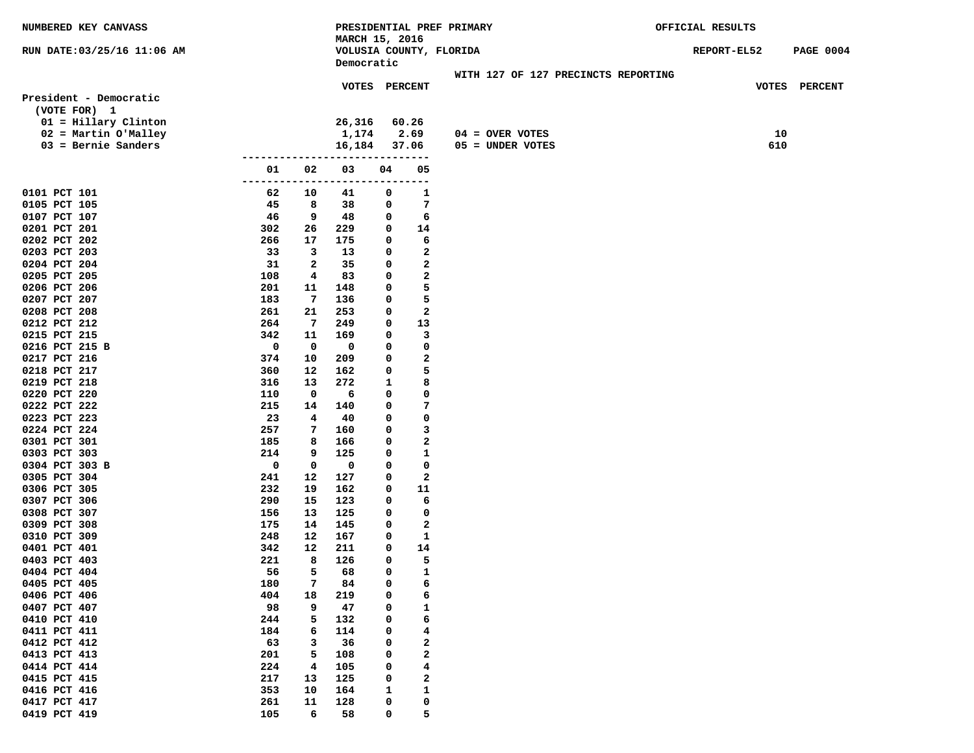**MARCH 15, 2016 RUN DATE:03/25/16 11:06 AM VOLUSIA COUNTY, FLORIDA REPORT-EL52 PAGE 0004 Democratic WITH 127 OF 127 PRECINCTS REPORTING VOTES PERCENT VOTES PERCENT President - Democratic (VOTE FOR) 1 01 = Hillary Clinton 26,316 60.26 02 = Martin O'Malley 1,174 2.69 04 = OVER VOTES 10 03 = Bernie Sanders 16,184 37.06 05 = UNDER VOTES 610 ------------------------------ 01 02 03 04 05 ------------------------------ 0101 PCT 101 62 10 41 0 1 0105 PCT 105 45 8 38 0 7 0107 PCT 107 46 9 48 0 6 0201 PCT 201 302 26 229 0 14 0202 PCT 202 266 17 175 0 6 0203 PCT 203 33 3 13 0 2 0204 PCT 204 31 2 35 0 2 0205 PCT 205 108 4 83 0 2 0206 PCT 206 201 11 148 0 5 0207 PCT 207 183 7 136 0 5 0208 PCT 208 261 21 253 0 2 0212 PCT 212 264 7 249 0 13 0215 PCT 215 342 11 169 0 3 0216 PCT 215 B 0 0 0 0 0 0217 PCT 216 374 10 209 0 2 0218 PCT 217 360 12 162 0 5 0219 PCT 218 316 13 272 1 8 0220 PCT 220 110 0 6 0 0 0222 PCT 222 215 14 140 0 7 0223 PCT 223 23 4 40 0 0 0224 PCT 224 257 7 160 0 3 0301 PCT 301 185 8 166 0 2 0303 PCT 303 214 9 125 0 1 0304 PCT 303 B 0 0 0 0 0 0305 PCT 304 241 12 127 0 2 0306 PCT 305 232 19 162 0 11 0307 PCT 306 290 15 123 0 6 0308 PCT 307 156 13 125 0 0 0309 PCT 308 175 14 145 0 2 0310 PCT 309 248 12 167 0 1 0401 PCT 401 342 12 211 0 14 0403 PCT 403 221 8 126 0 5 0404 PCT 404 56 5 68 0 1 0405 PCT 405 180 7 84 0 6 0406 PCT 406 404 18 219 0 6 0407 PCT 407 98 9 47 0 1 0410 PCT 410 244 5 132 0 6 0411 PCT 411 184 184 184 114 0 4 0412 PCT 412 63 3 36 0 2 0413 PCT 413 201 5 108 0 2 0414 PCT 414 224 4 105 0 4 0415 PCT 415 217 13 125 0 2 0416 PCT 416 353 10 164 1 1 0417 PCT 417 261 11 128 0 0** 

**0419 PCT 419 105 6 58 0 5** 

**NUMBERED KEY CANVASS PRESIDENTIAL PREF PRIMARY OFFICIAL RESULTS**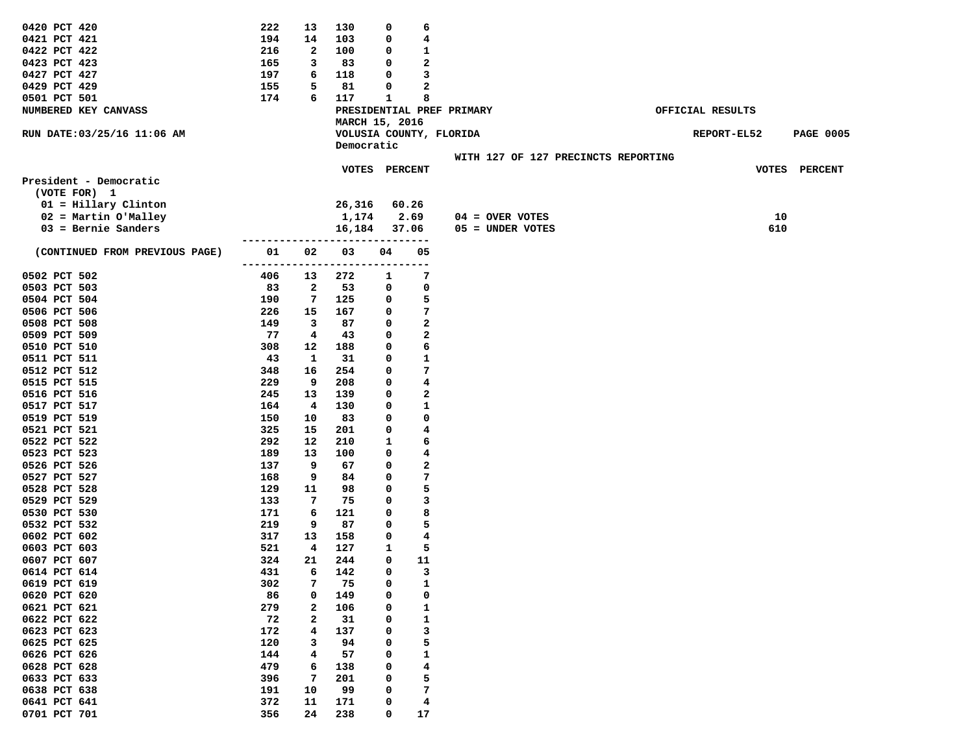| 0420 PCT 420                   | 222 | 13                      | 130                     | 0  | 6     |                                     |                  |                  |
|--------------------------------|-----|-------------------------|-------------------------|----|-------|-------------------------------------|------------------|------------------|
| 0421 PCT 421                   | 194 | 14                      | 103                     | 0  | 4     |                                     |                  |                  |
| 0422 PCT 422                   | 216 | $\mathbf{2}$            | 100                     | 0  | 1     |                                     |                  |                  |
| 0423 PCT 423                   | 165 | 3                       | 83                      | 0  | 2     |                                     |                  |                  |
| 0427 PCT 427                   | 197 | 6                       | 118                     | 0  | 3     |                                     |                  |                  |
| 0429 PCT 429                   | 155 | 5                       | 81                      | 0  | 2     |                                     |                  |                  |
| 0501 PCT 501                   | 174 | 6                       | 117                     | 1  | 8     |                                     |                  |                  |
| NUMBERED KEY CANVASS           |     |                         |                         |    |       | PRESIDENTIAL PREF PRIMARY           | OFFICIAL RESULTS |                  |
|                                |     |                         | MARCH 15, 2016          |    |       |                                     |                  |                  |
| RUN DATE: 03/25/16 11:06 AM    |     |                         | VOLUSIA COUNTY, FLORIDA |    |       |                                     | REPORT-EL52      | <b>PAGE 0005</b> |
|                                |     |                         | Democratic              |    |       |                                     |                  |                  |
|                                |     |                         |                         |    |       | WITH 127 OF 127 PRECINCTS REPORTING |                  |                  |
|                                |     |                         | VOTES PERCENT           |    |       |                                     |                  | VOTES PERCENT    |
| President - Democratic         |     |                         |                         |    |       |                                     |                  |                  |
| (VOTE FOR) 1                   |     |                         |                         |    |       |                                     |                  |                  |
| 01 = Hillary Clinton           |     |                         | 26,316                  |    | 60.26 |                                     |                  |                  |
| 02 = Martin O'Malley           |     |                         | 1,174                   |    | 2.69  | 04 = OVER VOTES                     | 10               |                  |
| $03$ = Bernie Sanders          |     |                         | 16,184                  |    | 37.06 | 05 = UNDER VOTES                    | 610              |                  |
|                                |     |                         |                         |    |       |                                     |                  |                  |
| (CONTINUED FROM PREVIOUS PAGE) | 01  | 02                      | 03                      | 04 | 05    |                                     |                  |                  |
|                                |     |                         |                         |    |       |                                     |                  |                  |
| 0502 PCT 502                   | 406 | 13                      | 272                     | 1  | 7     |                                     |                  |                  |
| 0503 PCT 503                   | 83  | $\overline{\mathbf{2}}$ | 53                      | 0  | 0     |                                     |                  |                  |
| 0504 PCT 504                   | 190 | 7                       | 125                     | 0  | 5     |                                     |                  |                  |
| 0506 PCT 506                   | 226 | 15                      | 167                     | 0  | 7     |                                     |                  |                  |
| 0508 PCT 508                   | 149 | 3                       | 87                      | 0  | 2     |                                     |                  |                  |
| 0509 PCT 509                   | 77  | 4                       | 43                      | 0  | 2     |                                     |                  |                  |
| 0510 PCT 510                   | 308 | 12                      | 188                     | 0  | 6     |                                     |                  |                  |
| 0511 PCT 511                   | 43  | 1                       | 31                      | 0  | 1     |                                     |                  |                  |
| 0512 PCT 512                   | 348 | 16                      | 254                     | 0  | 7     |                                     |                  |                  |
| 0515 PCT 515                   | 229 | 9                       | 208                     | 0  | 4     |                                     |                  |                  |
| 0516 PCT 516                   | 245 | 13                      | 139                     | 0  | 2     |                                     |                  |                  |
| 0517 PCT 517                   | 164 | 4                       | 130                     | 0  | 1     |                                     |                  |                  |
| 0519 PCT 519                   | 150 | 10                      | 83                      | 0  | 0     |                                     |                  |                  |
| 0521 PCT 521                   | 325 | 15                      | 201                     | 0  | 4     |                                     |                  |                  |
| 0522 PCT 522                   | 292 | 12                      | 210                     | 1  | 6     |                                     |                  |                  |
| 0523 PCT 523                   | 189 | 13                      | 100                     | 0  | 4     |                                     |                  |                  |
| 0526 PCT 526                   | 137 | 9                       | 67                      | 0  | 2     |                                     |                  |                  |
| 0527 PCT 527                   | 168 | 9                       | 84                      | 0  | 7     |                                     |                  |                  |
| 0528 PCT 528                   | 129 | 11                      | 98                      | 0  | 5     |                                     |                  |                  |
| 0529 PCT 529                   | 133 | 7                       | 75                      | 0  | 3     |                                     |                  |                  |
| 0530 PCT 530                   | 171 | 6                       | 121                     | 0  | 8     |                                     |                  |                  |
| 0532 PCT 532                   | 219 | 9                       | 87                      | 0  | 5     |                                     |                  |                  |
| 0602 PCT 602                   | 317 | 13                      | 158                     | 0  | 4     |                                     |                  |                  |
| 0603 PCT 603                   | 521 | 4                       | 127                     | 1  | 5     |                                     |                  |                  |
| 0607 PCT 607                   | 324 | 21                      | 244                     | 0  | 11    |                                     |                  |                  |
| 0614 PCT 614                   | 431 | 6                       | 142                     | 0  | 3     |                                     |                  |                  |
| 0619 PCT 619                   | 302 | 7                       | 75                      | 0  | 1     |                                     |                  |                  |
| 0620 PCT 620                   | 86  | 0                       | 149                     | 0  | 0     |                                     |                  |                  |
| 0621 PCT 621                   | 279 | 2                       | 106                     | 0  | 1     |                                     |                  |                  |
| 0622 PCT 622                   | 72  | $\mathbf{2}$            | 31                      | 0  | 1     |                                     |                  |                  |
| 0623 PCT 623                   | 172 | 4                       | 137                     | 0  | 3     |                                     |                  |                  |
| 0625 PCT 625                   | 120 | з                       | 94                      | 0  | 5     |                                     |                  |                  |
| 0626 PCT 626                   | 144 | 4                       | 57                      | 0  | 1     |                                     |                  |                  |
| 0628 PCT 628                   | 479 | 6                       | 138                     | 0  | 4     |                                     |                  |                  |
| 0633 PCT 633                   | 396 | 7                       | 201                     | 0  | 5     |                                     |                  |                  |
| 0638 PCT 638                   | 191 | 10                      | 99                      | 0  | 7     |                                     |                  |                  |
| 0641 PCT 641                   | 372 | 11                      | 171                     | 0  | 4     |                                     |                  |                  |
| 0701 PCT 701                   | 356 | 24                      | 238                     | 0  |       |                                     |                  |                  |
|                                |     |                         |                         |    | 17    |                                     |                  |                  |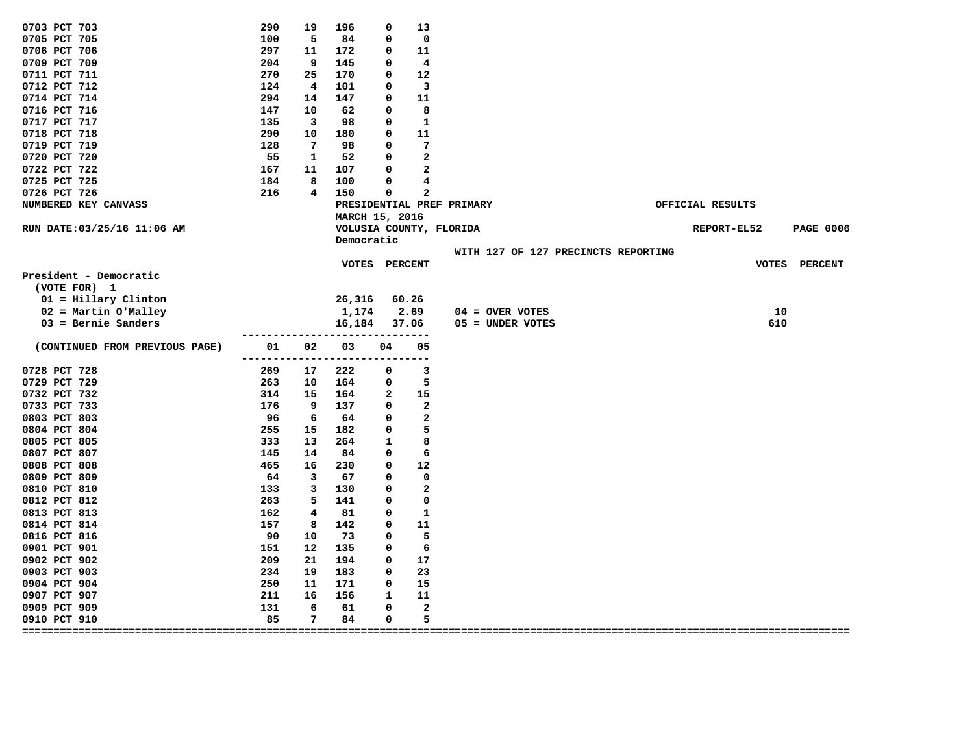| 0703 PCT 703                   | 290        | 19       | 196                     | 0        | 13                      |                                     |                  |                  |
|--------------------------------|------------|----------|-------------------------|----------|-------------------------|-------------------------------------|------------------|------------------|
| 0705 PCT 705                   | 100        | 5        | 84                      | 0        | 0                       |                                     |                  |                  |
| 0706 PCT 706                   | 297        | 11       | 172                     | 0        | 11                      |                                     |                  |                  |
| 0709 PCT 709                   | 204        | 9        | 145                     | 0        | 4                       |                                     |                  |                  |
| 0711 PCT 711                   | 270        | 25       | 170                     | 0        | 12                      |                                     |                  |                  |
| 0712 PCT 712                   | 124        | 4        | 101                     | 0        | 3                       |                                     |                  |                  |
| 0714 PCT 714                   | 294        | 14       | 147                     | 0        | 11                      |                                     |                  |                  |
| 0716 PCT 716                   | 147        | 10       | 62                      | 0        | 8                       |                                     |                  |                  |
| 0717 PCT 717                   | 135        | 3        | 98                      | 0        | $\mathbf{1}$            |                                     |                  |                  |
| 0718 PCT 718                   | 290        | 10       | 180                     | 0        | 11                      |                                     |                  |                  |
| 0719 PCT 719                   | 128        | 7        | 98                      | 0        | 7                       |                                     |                  |                  |
| 0720 PCT 720                   | 55         | 1        | 52                      | 0        | $\mathbf{2}$            |                                     |                  |                  |
| 0722 PCT 722                   | 167        | 11       | 107                     | 0        | $\mathbf{2}$            |                                     |                  |                  |
| 0725 PCT 725                   | 184        | 8        | 100                     | $\Omega$ | 4                       |                                     |                  |                  |
| 0726 PCT 726                   | 216        | 4        | 150                     | 0        | 2                       |                                     |                  |                  |
| NUMBERED KEY CANVASS           |            |          |                         |          |                         | PRESIDENTIAL PREF PRIMARY           | OFFICIAL RESULTS |                  |
|                                |            |          | MARCH 15, 2016          |          |                         |                                     |                  |                  |
| RUN DATE: 03/25/16 11:06 AM    |            |          | VOLUSIA COUNTY, FLORIDA |          |                         |                                     | REPORT-EL52      | <b>PAGE 0006</b> |
|                                |            |          | Democratic              |          |                         |                                     |                  |                  |
|                                |            |          |                         |          |                         | WITH 127 OF 127 PRECINCTS REPORTING |                  |                  |
|                                |            |          | <b>VOTES</b>            |          | <b>PERCENT</b>          |                                     |                  | VOTES PERCENT    |
| President - Democratic         |            |          |                         |          |                         |                                     |                  |                  |
| (VOTE FOR) 1                   |            |          |                         |          |                         |                                     |                  |                  |
| 01 = Hillary Clinton           |            |          | 26,316                  |          | 60.26                   |                                     |                  |                  |
| 02 = Martin O'Malley           |            |          | 1,174                   |          | 2.69                    | $04 =$ OVER VOTES                   | 10               |                  |
| $03$ = Bernie Sanders          |            |          | 16,184                  |          | 37.06                   | 05 = UNDER VOTES                    | 610              |                  |
|                                |            |          |                         |          |                         |                                     |                  |                  |
| (CONTINUED FROM PREVIOUS PAGE) | 01         | 02       | 03                      | 04       | 05                      |                                     |                  |                  |
| 0728 PCT 728                   |            |          |                         |          | $- -$<br>3              |                                     |                  |                  |
| 0729 PCT 729                   | 269<br>263 | 17<br>10 | 222<br>164              | 0<br>0   | 5                       |                                     |                  |                  |
| 0732 PCT 732                   | 314        | 15       | 164                     | 2        | 15                      |                                     |                  |                  |
| 0733 PCT 733                   | 176        | 9        | 137                     | 0        | 2                       |                                     |                  |                  |
| 0803 PCT 803                   | 96         | 6        | 64                      | 0        | 2                       |                                     |                  |                  |
| 0804 PCT 804                   | 255        | 15       | 182                     | 0        | 5                       |                                     |                  |                  |
| 0805 PCT 805                   | 333        | 13       | 264                     | 1        | 8                       |                                     |                  |                  |
| 0807 PCT 807                   | 145        | 14       | 84                      | 0        | 6                       |                                     |                  |                  |
| 0808 PCT 808                   | 465        | 16       | 230                     | 0        | 12                      |                                     |                  |                  |
| 0809 PCT 809                   | 64         | 3        | 67                      | 0        | 0                       |                                     |                  |                  |
| 0810 PCT 810                   | 133        | 3        | 130                     | 0        | 2                       |                                     |                  |                  |
| 0812 PCT 812                   | 263        | 5        | 141                     | 0        | 0                       |                                     |                  |                  |
| 0813 PCT 813                   | 162        | 4        | 81                      | 0        | 1                       |                                     |                  |                  |
| 0814 PCT 814                   | 157        | 8        | 142                     | 0        | 11                      |                                     |                  |                  |
| 0816 PCT 816                   | 90         | 10       | 73                      | 0        | 5                       |                                     |                  |                  |
| 0901 PCT 901                   | 151        | 12       | 135                     | 0        | 6                       |                                     |                  |                  |
| 0902 PCT 902                   | 209        | 21       | 194                     | 0        | 17                      |                                     |                  |                  |
| 0903 PCT 903                   | 234        | 19       | 183                     | 0        | 23                      |                                     |                  |                  |
| 0904 PCT 904                   | 250        | 11       | 171                     | 0        | 15                      |                                     |                  |                  |
| 0907 PCT 907                   | 211        | 16       | 156                     | 1        | 11                      |                                     |                  |                  |
| 0909 PCT 909                   | 131        | 6        | 61                      | 0        | $\overline{\mathbf{2}}$ |                                     |                  |                  |
| 0910 PCT 910                   | 85         | 7        | 84                      | 0        | 5                       |                                     |                  |                  |
|                                |            | ====:    |                         |          |                         |                                     |                  |                  |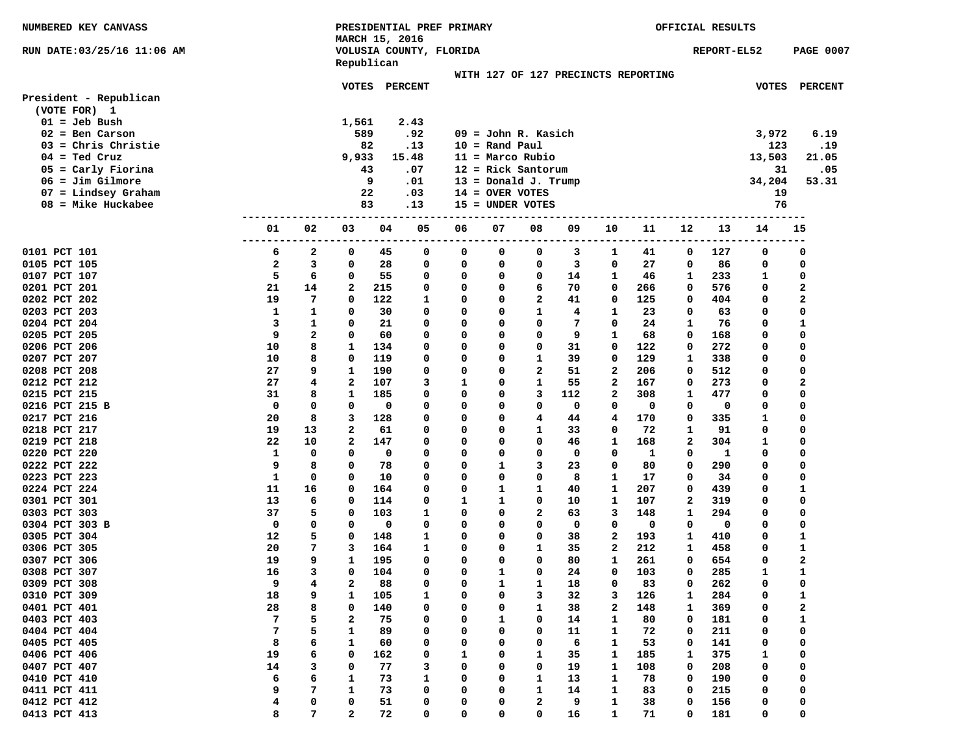| NUMBERED KEY CANVASS         |         |        |                         |           | PRESIDENTIAL PREF PRIMARY |        |                                     |              |          | OFFICIAL RESULTS  |           |        |             |                   |                                |
|------------------------------|---------|--------|-------------------------|-----------|---------------------------|--------|-------------------------------------|--------------|----------|-------------------|-----------|--------|-------------|-------------------|--------------------------------|
|                              |         |        | MARCH 15, 2016          |           |                           |        |                                     |              |          |                   |           |        |             |                   |                                |
| RUN DATE:03/25/16 11:06 AM   |         |        |                         |           | VOLUSIA COUNTY, FLORIDA   |        |                                     |              |          |                   |           |        | REPORT-EL52 |                   | <b>PAGE 0007</b>               |
|                              |         |        | Republican              |           |                           |        |                                     |              |          |                   |           |        |             |                   |                                |
|                              |         |        |                         |           |                           |        | WITH 127 OF 127 PRECINCTS REPORTING |              |          |                   |           |        |             |                   |                                |
| President - Republican       |         |        | <b>VOTES</b>            |           | <b>PERCENT</b>            |        |                                     |              |          |                   |           |        |             |                   | VOTES PERCENT                  |
| (VOTE FOR) 1                 |         |        |                         |           |                           |        |                                     |              |          |                   |           |        |             |                   |                                |
| $01 =$ Jeb Bush              |         |        | 1,561                   |           | 2.43                      |        |                                     |              |          |                   |           |        |             |                   |                                |
| $02 = Ben Carson$            |         |        | 589                     |           | .92                       |        | $09 =$ John R. Kasich               |              |          |                   |           |        |             | 3,972             | 6.19                           |
| $03$ = Chris Christie        |         |        | 82                      |           | .13                       |        | $10 =$ Rand Paul                    |              |          |                   |           |        |             | 123               | .19                            |
| $04 =$ Ted Cruz              |         |        | 9,933                   |           | 15.48                     |        | $11 = Marco Rubio$                  |              |          |                   |           |        |             | 13,503            | 21.05                          |
| 05 = Carly Fiorina           |         |        | 43                      |           | .07                       |        | $12$ = Rick Santorum                |              |          |                   |           |        |             | 31                | .05                            |
| 06 = Jim Gilmore             |         |        |                         | 9         | .01                       |        | $13 = Donald J. Trump$              |              |          |                   |           |        |             | 34,204            | 53.31                          |
| $07$ = Lindsey Graham        |         |        | 22                      |           | .03                       |        | $14 =$ OVER VOTES                   |              |          |                   |           |        |             | 19                |                                |
| 08 = Mike Huckabee           |         |        | 83                      |           | .13                       |        | $15 =$ UNDER VOTES                  |              |          |                   |           |        |             | 76                |                                |
|                              |         |        |                         |           |                           |        |                                     |              |          |                   |           |        |             |                   |                                |
|                              | 01      | 02     | 03                      | 04        | 05                        | 06     | 07                                  | 08           | 09       | 10                | 11        | 12     | 13          | 14                | 15                             |
|                              |         |        |                         |           |                           |        |                                     |              |          |                   |           |        |             |                   |                                |
| 0101 PCT 101                 | 6       | 2      | 0                       | 45        | 0                         | 0      | 0                                   | 0            | 3        | 1                 | 41        | 0      | 127         | 0                 | 0                              |
| 0105 PCT 105                 | 2       | 3      | 0                       | 28        | 0                         | 0      | 0                                   | 0            | 3        | 0                 | 27        | 0      | 86          | 0                 | 0                              |
| 0107 PCT 107                 | 5       | 6      | 0                       | 55        | 0                         | 0      | 0                                   | 0            | 14       | 1                 | 46        | 1      | 233         | 1                 | 0                              |
| 0201 PCT 201                 | 21      | 14     | 2                       | 215       | 0                         | 0      | 0                                   | 6            | 70       | 0                 | 266       | 0      | 576         | 0                 | 2                              |
| 0202 PCT 202                 | 19      | 7      | 0                       | 122       | 1                         | 0      | $\Omega$                            | $\mathbf{2}$ | 41       | 0                 | 125       | 0      | 404         | 0                 | $\overline{a}$                 |
| 0203 PCT 203                 | 1       | 1      | 0                       | 30        | 0                         | 0      | 0                                   | 1            | 4        | 1                 | 23        | 0      | 63          | 0                 | 0                              |
| 0204 PCT 204                 | 3       | 1      | 0                       | 21        | 0                         | 0      | 0                                   | 0            | 7        | 0                 | 24        | 1      | 76          | 0                 | 1                              |
| 0205 PCT 205                 | 9       | 2      | 0                       | 60        | 0                         | 0      | 0                                   | 0            | 9        | 1                 | 68        | 0      | 168         | 0                 | 0                              |
| 0206 PCT 206                 | 10      | 8      | 1                       | 134       | 0                         | 0      | 0                                   | 0            | 31       | 0                 | 122       | 0      | 272         | 0                 | 0                              |
| 0207 PCT 207                 | 10      | 8      | 0                       | 119       | 0                         | 0      | 0                                   | 1            | 39       | 0                 | 129       | 1      | 338         | 0                 | 0                              |
| 0208 PCT 208                 | 27      | 9      | 1                       | 190       | 0                         | 0      | 0                                   | 2            | 51       | 2                 | 206       | 0      | 512         | 0                 | 0                              |
| 0212 PCT 212                 | 27      | 4      | 2                       | 107       | 3                         | 1      | 0                                   | 1            | 55       | $\mathbf{2}$      | 167       | 0      | 273         | 0                 | 2                              |
| 0215 PCT 215                 | 31      | 8      | 1                       | 185       | 0                         | 0      | 0                                   | 3            | 112      | $\mathbf{2}$      | 308       | 1      | 477         | 0                 | 0                              |
| 0216 PCT 215 B               | 0       | 0      | 0                       | 0         | 0                         | 0      | $\Omega$                            | 0            | 0        | 0                 | 0         | 0      | 0           | 0                 | 0                              |
| 0217 PCT 216                 | 20      | 8      | 3                       | 128       | 0                         | 0      | 0                                   | 4            | 44       | 4                 | 170       | 0      | 335         | 1                 | 0                              |
| 0218 PCT 217                 | 19      | 13     | 2                       | 61        | 0                         | 0      | 0                                   | 1            | 33       | 0                 | 72        | 1      | 91          | 0                 | 0                              |
| 0219 PCT 218                 | 22      | 10     | 2                       | 147       | 0                         | 0      | 0                                   | 0            | 46       | 1                 | 168       | 2      | 304         | 1                 | 0                              |
| 0220 PCT 220                 | 1       | 0      | 0                       | 0         | 0                         | 0      | 0                                   | 0            | 0        | 0                 | 1         | 0      | 1           | 0                 | 0                              |
| 0222 PCT 222                 | 9       | 8      | 0                       | 78        | 0                         | 0      | 1                                   | 3            | 23       | 0                 | 80        | 0      | 290         | 0                 | 0                              |
| 0223 PCT 223                 | 1       | 0      | 0                       | 10        | 0                         | 0      | 0                                   | 0            | 8        | 1                 | 17        | 0      | 34          | 0                 | 0                              |
| 0224 PCT 224                 | 11      | 16     | 0                       | 164       | 0                         | 0      | 1                                   | 1            | 40       | 1                 | 207       | 0      | 439         | 0                 | 1                              |
| 0301 PCT 301                 | 13      | 6      | 0                       | 114       | 0                         | 1      | 1                                   | 0            | 10       | 1                 | 107       | 2      | 319         | 0                 | 0                              |
| 0303 PCT 303                 | 37      | 5      | 0                       | 103       | 1                         | 0      | 0                                   | $\mathbf{2}$ | 63       | 3                 | 148       | 1      | 294         | 0                 | 0                              |
| 0304 PCT 303 B               | 0       | 0      | 0                       | 0         | 0                         | 0      | 0                                   | 0            | 0        | 0                 | 0         | 0      | 0           | 0                 | 0                              |
| 0305 PCT 304                 | 12      | 5      | 0                       | 148       | 1                         | 0      | 0                                   | 0            | 38       | 2                 | 193       | 1      | 410         | 0                 | 1                              |
| 0306 PCT 305                 | 20      | 7      | 3                       | 164       | 1                         | 0      | 0                                   | 1            | 35       | 2                 | 212       | 1      | 458         | 0                 | $\mathbf{1}$                   |
| 0307 PCT 306                 | 19      | 9<br>3 | 1<br>$\Omega$           | 195       | 0<br>0                    | 0<br>O | $\mathbf 0$<br>$\mathbf{1}$         | 0<br>0       | 80       | $\mathbf{1}$<br>O | 261       | 0<br>0 | 654         | 0<br>$\mathbf{1}$ | $\overline{a}$<br>$\mathbf{1}$ |
| 0308 PCT 307                 | 16      |        |                         | 104       |                           |        |                                     |              | 24       |                   | 103       |        | 285         |                   |                                |
| 0309 PCT 308<br>0310 PCT 309 | 9<br>18 | 4<br>9 | $\mathbf{2}$<br>1       | 88<br>105 | 0<br>1                    | 0<br>0 | 1<br>0                              | 1<br>з       | 18<br>32 | 0                 | 83<br>126 | 0      | 262<br>284  | 0<br>0            | 0<br>1                         |
| 0401 PCT 401                 | 28      | 8      | 0                       | 140       |                           | 0      | 0                                   | 1            | 38       | з<br>2            | 148       | 1<br>1 |             | 0                 | 2                              |
| 0403 PCT 403                 | 7       | 5      | 2                       | 75        | 0                         |        |                                     | 0            |          | 1                 | 80        | 0      | 369<br>181  |                   | $\mathbf 1$                    |
| 0404 PCT 404                 | 7       | 5      | 1                       | 89        | 0<br>0                    | 0<br>0 | 1<br>O                              | 0            | 14<br>11 | 1                 | 72        | 0      | 211         | 0<br>0            | 0                              |
| 0405 PCT 405                 | 8       | 6      | 1                       | 60        | 0                         | 0      | 0                                   | 0            | 6        | 1                 | 53        | 0      | 141         | 0                 | 0                              |
| 0406 PCT 406                 | 19      | 6      | 0                       | 162       | 0                         | 1      | 0                                   | 1            | 35       | 1                 | 185       | 1      | 375         | 1                 | 0                              |
| 0407 PCT 407                 | 14      | з      | 0                       | 77        | 3                         | 0      | 0                                   | 0            | 19       | 1                 | 108       | 0      | 208         | 0                 | 0                              |
| 0410 PCT 410                 | 6       | 6      | 1                       | 73        | 1                         | 0      | 0                                   | 1            | 13       | 1                 | 78        | 0      | 190         | 0                 | 0                              |
| 0411 PCT 411                 | 9       | 7      | 1                       | 73        | 0                         | 0      | O                                   | 1            | 14       | 1                 | 83        | O      | 215         | 0                 | 0                              |
| 0412 PCT 412                 | 4       | 0      | 0                       | 51        | 0                         | 0      | 0                                   | 2            | 9        | 1                 | 38        | 0      | 156         | 0                 | 0                              |
| 0413 PCT 413                 | 8       | 7      | $\overline{\mathbf{2}}$ | 72        | 0                         | 0      | 0                                   | 0            | 16       | $\mathbf{1}$      | 71        | 0      | 181         | 0                 | 0                              |
|                              |         |        |                         |           |                           |        |                                     |              |          |                   |           |        |             |                   |                                |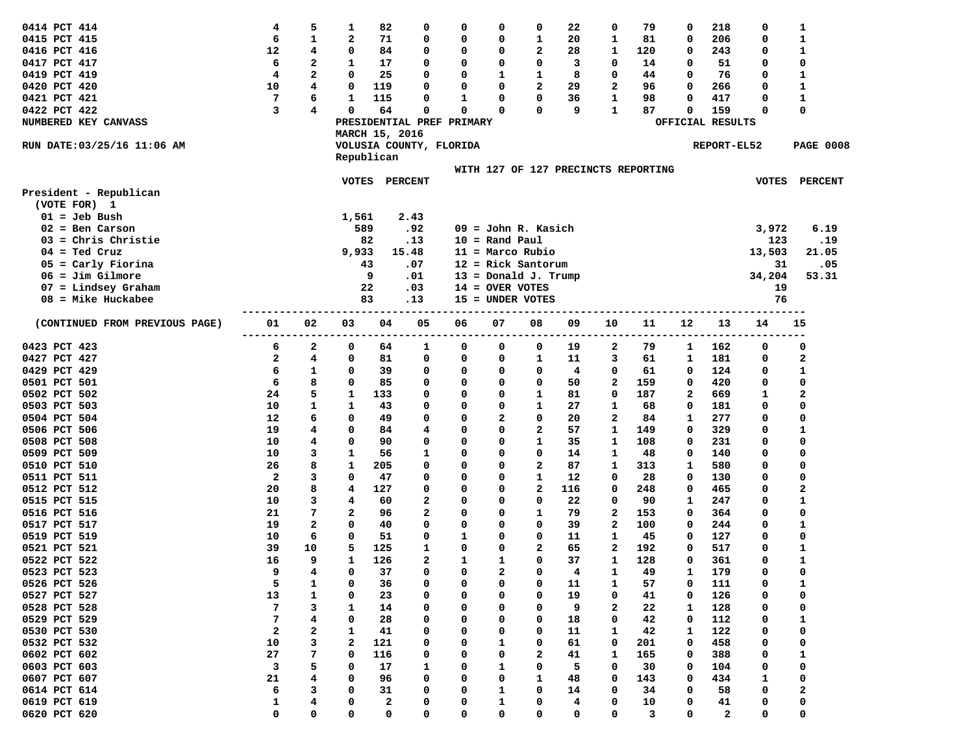| 0414 PCT 414                   | 4  | 5            | 1            | 82             | 0                         | 0             | 0                                   | 0            | 22      | 0                       | 79  | 0            | 218              | 0            | 1                |
|--------------------------------|----|--------------|--------------|----------------|---------------------------|---------------|-------------------------------------|--------------|---------|-------------------------|-----|--------------|------------------|--------------|------------------|
| 0415 PCT 415                   | 6  | 1            | $\mathbf{2}$ | 71             | 0                         | 0             | 0                                   | 1            | 20      | 1                       | 81  | 0            | 206              | 0            | 1                |
| 0416 PCT 416                   | 12 | 4            | 0            | 84             | 0                         | 0             | 0                                   | 2            | 28      | 1                       | 120 | 0            | 243              | 0            | $\mathbf{1}$     |
| 0417 PCT 417                   | 6  | 2            | 1            | 17             | 0                         | 0             | 0                                   | 0            | 3       | 0                       | 14  | O            | 51               | 0            | 0                |
| 0419 PCT 419                   | 4  | $\mathbf{2}$ | 0            | 25             | 0                         | 0             | 1                                   | 1            | 8       | 0                       | 44  | O            | 76               | 0            | 1                |
| 0420 PCT 420                   | 10 | 4            | 0            | 119            | 0                         | 0             | 0                                   | 2            | 29      | 2                       | 96  | 0            | 266              | 0            | 1                |
|                                |    |              | $\mathbf 1$  |                | O                         |               |                                     |              |         |                         |     | O            |                  |              |                  |
| 0421 PCT 421                   | 7  | 6            | 0            | 115            |                           | 1<br>$\Omega$ | 0<br>0                              | 0            | 36<br>9 | 1                       | 98  |              | 417              | 0            | 1                |
| 0422 PCT 422                   | 3  | 4            |              | 64             | 0                         |               |                                     | 0            |         | 1                       | 87  | 0            | 159              | 0            | 0                |
| NUMBERED KEY CANVASS           |    |              |              |                | PRESIDENTIAL PREF PRIMARY |               |                                     |              |         |                         |     |              | OFFICIAL RESULTS |              |                  |
|                                |    |              |              | MARCH 15, 2016 |                           |               |                                     |              |         |                         |     |              |                  |              |                  |
| RUN DATE:03/25/16 11:06 AM     |    |              |              |                | VOLUSIA COUNTY, FLORIDA   |               |                                     |              |         |                         |     |              | REPORT-EL52      |              | <b>PAGE 0008</b> |
|                                |    |              |              | Republican     |                           |               |                                     |              |         |                         |     |              |                  |              |                  |
|                                |    |              |              |                |                           |               | WITH 127 OF 127 PRECINCTS REPORTING |              |         |                         |     |              |                  |              |                  |
|                                |    |              | <b>VOTES</b> |                | <b>PERCENT</b>            |               |                                     |              |         |                         |     |              |                  | <b>VOTES</b> | <b>PERCENT</b>   |
| President - Republican         |    |              |              |                |                           |               |                                     |              |         |                         |     |              |                  |              |                  |
| (VOTE FOR) 1                   |    |              |              |                |                           |               |                                     |              |         |                         |     |              |                  |              |                  |
| $01 =$ Jeb Bush                |    |              | 1,561        |                | 2.43                      |               |                                     |              |         |                         |     |              |                  |              |                  |
| $02 = Ben Carson$              |    |              |              | 589            | .92                       |               | $09 =$ John R. Kasich               |              |         |                         |     |              |                  | 3,972        | 6.19             |
| $03$ = Chris Christie          |    |              |              | 82             | .13                       |               | $10 =$ Rand Paul                    |              |         |                         |     |              |                  | 123          | .19              |
| $04 =$ Ted Cruz                |    |              | 9,933        |                | 15.48                     |               | 11 = Marco Rubio                    |              |         |                         |     |              |                  | 13,503       | 21.05            |
| $05 =$ Carly Fiorina           |    |              |              | 43             | .07                       | 12            | = Rick Santorum                     |              |         |                         |     |              |                  | 31           | .05              |
| $06 = Jim Gilmore$             |    |              |              | 9              | .01                       | 13.           | = Donald J. Trump                   |              |         |                         |     |              |                  | 34,204       | 53.31            |
| $07$ = Lindsey Graham          |    |              |              | 22             | .03                       |               | $14 =$ OVER VOTES                   |              |         |                         |     |              |                  | 19           |                  |
| $08$ = Mike Huckabee           |    |              |              | 83             | .13                       | 15            | = UNDER VOTES                       |              |         |                         |     |              |                  | 76           |                  |
|                                |    |              |              |                |                           |               |                                     |              |         |                         |     |              |                  |              |                  |
| (CONTINUED FROM PREVIOUS PAGE) | 01 | 02           | 03           | 04             | 05                        | 06            | 07                                  | 08           | 09      | 10                      | 11  | 12           | 13               | 14           | 15               |
|                                |    |              |              |                |                           |               |                                     |              |         |                         |     |              |                  |              |                  |
| 0423 PCT 423                   | 6  | 2            | 0            | 64             | 1                         | 0             | 0                                   | 0            | 19      | 2                       | 79  | 1            | 162              | 0            | 0                |
| 0427 PCT 427                   | 2  | 4            | 0            | 81             | 0                         | 0             | 0                                   | 1            | 11      | 3                       | 61  | 1            | 181              | 0            | 2                |
| 0429 PCT 429                   | 6  | 1            | 0            | 39             | 0                         | 0             | 0                                   | 0            | 4       | 0                       | 61  | 0            | 124              | 0            | 1                |
| 0501 PCT 501                   | 6  | 8            | 0            | 85             | 0                         | 0             | 0                                   | 0            | 50      | 2                       | 159 | 0            | 420              | 0            | 0                |
| 0502 PCT 502                   | 24 | 5            | 1            | 133            | 0                         | 0             | 0                                   | 1            | 81      | 0                       | 187 | $\mathbf{2}$ | 669              | 1            | 2                |
| 0503 PCT 503                   | 10 | 1            | 1            | 43             | 0                         | 0             | 0                                   | 1            | 27      | 1                       | 68  | 0            | 181              | 0            | 0                |
| 0504 PCT 504                   | 12 | 6            | $\Omega$     | 49             | 0                         | 0             | $\overline{a}$                      | 0            | 20      | $\overline{\mathbf{2}}$ | 84  | 1            | 277              | 0            | 0                |
| 0506 PCT 506                   | 19 | 4            | 0            | 84             | 4                         | 0             | 0                                   | $\mathbf{2}$ | 57      | 1                       | 149 | 0            | 329              | 0            | 1                |
| 0508 PCT 508                   | 10 | 4            | 0            | 90             | 0                         | 0             | 0                                   | 1            | 35      | 1                       | 108 | 0            | 231              | 0            | 0                |
| 0509 PCT 509                   | 10 | 3            | 1            | 56             | 1                         | 0             | 0                                   | 0            | 14      | 1                       | 48  | 0            | 140              | 0            | 0                |
| 0510 PCT 510                   | 26 | 8            | 1            | 205            | 0                         | 0             | 0                                   | 2            | 87      | 1                       | 313 | 1            | 580              | 0            | 0                |
| 0511 PCT 511                   | 2  | 3            | 0            | 47             | 0                         | 0             | 0                                   | 1            | 12      | 0                       | 28  | 0            | 130              | 0            | 0                |
| 0512 PCT 512                   | 20 | 8            | 4            | 127            | 0                         | 0             | 0                                   | $\mathbf{2}$ | 116     | 0                       | 248 | 0            | 465              | 0            | 2                |
| 0515 PCT 515                   | 10 | 3            | 4            | 60             | 2                         | 0             | 0                                   | 0            | 22      | 0                       | 90  | 1            | 247              | 0            | 1                |
| 0516 PCT 516                   | 21 | 7            | 2            | 96             | 2                         | 0             | 0                                   | 1            | 79      | $\mathbf{2}$            | 153 | 0            | 364              | 0            | 0                |
| 0517 PCT 517                   | 19 | $\mathbf{2}$ | $\Omega$     | 40             | 0                         | 0             | 0                                   | 0            | 39      | $\mathbf{2}$            | 100 | 0            | 244              | 0            | $\mathbf{1}$     |
| 0519 PCT 519                   | 10 | 6            | 0            | 51             | 0                         | 1             | 0                                   | 0            | 11      | 1                       | 45  | 0            | 127              | 0            | 0                |
| 0521 PCT 521                   | 39 | 10           | 5            | 125            | 1                         | 0             | 0                                   | 2            | 65      | $\mathbf{2}$            | 192 | 0            | 517              | 0            | 1                |
| 0522 PCT 522                   | 16 | 9            | $\mathbf{1}$ | 126            | 2                         | 1             | 1                                   | 0            | 37      | 1                       | 128 | 0            | 361              | 0            | $\mathbf{1}$     |
| 0523 PCT 523                   | q  | 4            | 0            | 37             | $\Omega$                  | $\Omega$      | 2                                   | $\Omega$     | 4       | 1                       | 49  |              | 179              |              | $\Omega$         |
| 0526 PCT 526                   | 5  | 1            | 0            | 36             | 0                         | 0             | 0                                   | 0            | 11      | 1                       | 57  | 0            | 111              | 0            | 1                |
| 0527 PCT 527                   | 13 | 1            | 0            | 23             | 0                         | 0             | 0                                   | 0            | 19      | 0                       | 41  | 0            | 126              | 0            | 0                |
| 0528 PCT 528                   | 7  | 3            | 1            | 14             | 0                         | 0             | 0                                   | 0            | 9       | 2                       | 22  | 1            | 128              | 0            | 0                |
| 0529 PCT 529                   | 7  | 4            | 0            | 28             | 0                         | 0             | 0                                   | 0            | 18      | 0                       | 42  | 0            | 112              | 0            | 1                |
| 0530 PCT 530                   | 2  | 2            | 1            | 41             | 0                         | 0             | 0                                   | 0            | 11      | 1                       | 42  | 1            | 122              | 0            | 0                |
| 0532 PCT 532                   | 10 | з            | 2            | 121            | 0                         | 0             | 1                                   | 0            | 61      | 0                       |     | 0            | 458              | 0            | 0                |
| 0602 PCT 602                   |    |              |              |                |                           |               |                                     |              |         |                         | 201 |              |                  |              |                  |
|                                | 27 | 7            | 0            | 116            | 0                         | 0             | 0                                   | 2            | 41      | 1                       | 165 | 0            | 388              | 0            | 1                |
| 0603 PCT 603                   | 3  | 5            | 0            | 17             | 1                         | 0             | 1                                   | 0            | 5       | 0                       | 30  | 0            | 104              | 0            | 0                |
| 0607 PCT 607                   | 21 | 4            | 0            | 96             | 0                         | 0             | 0                                   | 1            | 48      | 0                       | 143 | 0            | 434              | 1            | 0                |
| 0614 PCT 614                   | 6  | 3            | 0            | 31             | 0                         | 0             | 1                                   | 0            | 14      | 0                       | 34  | 0            | 58               | 0            | 2                |
| 0619 PCT 619                   | 1  | 4            | 0            | 2              | 0                         | 0             | 1                                   | 0            | 4       | 0                       | 10  | 0            | 41               | 0            | 0                |
| 0620 PCT 620                   | 0  | 0            | 0            | 0              | 0                         | 0             | 0                                   | 0            | 0       | 0                       | 3   | 0            | $\overline{a}$   | 0            | 0                |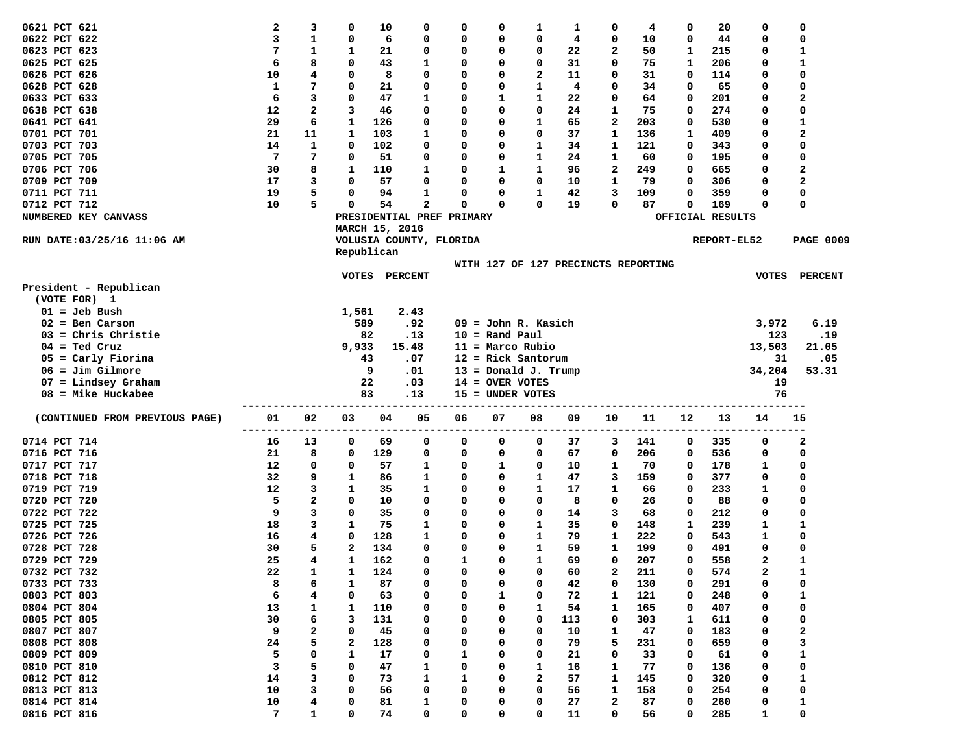| 0621 PCT 621                   | 2              | 3      | 0            | 10                        | 0            | 0            | 0                 | 1                                   | 1        | 0            | 4        | 0      | 20               | 0            | 0                |
|--------------------------------|----------------|--------|--------------|---------------------------|--------------|--------------|-------------------|-------------------------------------|----------|--------------|----------|--------|------------------|--------------|------------------|
| 0622 PCT 622                   | 3              | 1      | 0            | 6                         | 0            | 0            | 0                 | 0                                   | 4        | 0            | 10       | 0      | 44               | 0            | 0                |
| 0623 PCT 623                   | 7              | 1      | 1            | 21                        | 0            | 0            | 0                 | 0                                   | 22       | 2            | 50       | 1      | 215              | 0            | $\mathbf{1}$     |
| 0625 PCT 625                   | 6              | 8      | $\mathbf 0$  | 43                        | 1            | 0            | $\Omega$          | 0                                   | 31       | 0            | 75       | 1      | 206              | 0            | $\mathbf{1}$     |
| 0626 PCT 626                   | 10             | 4      | 0            | 8                         | 0            | 0            | O                 | 2                                   | 11       | O            | 31       | 0      | 114              | 0            | 0                |
| 0628 PCT 628                   | 1              | 7      | 0            | 21                        | 0            | 0            | 0                 | 1                                   | 4        | 0            | 34       | 0      | 65               | 0            | 0                |
| 0633 PCT 633                   | 6              | 3      | $\mathbf 0$  | 47                        | $\mathbf{1}$ | 0            | 1                 | 1                                   | 22       | O            | 64       | 0      | 201              | 0            | 2                |
| 0638 PCT 638                   | 12             | 2      | 3            | 46                        | 0            | 0            | 0                 | 0                                   | 24       | 1            | 75       | 0      | 274              | 0            | 0                |
| 0641 PCT 641                   | 29             | 6      | 1            | 126                       | 0            | 0            | $\Omega$          | 1                                   | 65       | $\mathbf{2}$ | 203      | 0      | 530              | 0            | 1                |
| 0701 PCT 701                   | 21             | 11     | 1            | 103                       | 1            | 0            | O                 | 0                                   | 37       | 1            | 136      | 1      | 409              | 0            | $\overline{a}$   |
| 0703 PCT 703                   | 14             | 1      | 0            | 102                       | 0            | 0            | 0                 | 1                                   | 34       | 1            | 121      | 0      | 343              | 0            | 0                |
| 0705 PCT 705                   | $\overline{7}$ | 7      | 0            | 51                        | 0            | 0            | 0                 | 1                                   | 24       | 1            | 60       | 0      | 195              | 0            | 0                |
| 0706 PCT 706                   | 30             | 8      | 1            | 110                       | 1            | 0            | 1                 | 1                                   | 96       | $\mathbf{2}$ | 249      | 0      | 665              | 0            | $\overline{a}$   |
| 0709 PCT 709                   | 17             | 3      | 0            | 57                        | 0            | 0            | 0                 | 0                                   | 10       | 1            | 79       | 0      | 306              | 0            | $\overline{a}$   |
| 0711 PCT 711                   | 19             | 5      | 0            | 94                        | 1            | 0            | 0                 | 1                                   | 42       | 3            | 109      | 0      | 359              | 0            | 0                |
| 0712 PCT 712                   | 10             | 5      | 0            | 54                        | 2            | 0            | 0                 | 0                                   | 19       | 0            | 87       | 0      | 169              | 0            | 0                |
| NUMBERED KEY CANVASS           |                |        |              | PRESIDENTIAL PREF PRIMARY |              |              |                   |                                     |          |              |          |        | OFFICIAL RESULTS |              |                  |
|                                |                |        |              | MARCH 15, 2016            |              |              |                   |                                     |          |              |          |        |                  |              |                  |
| RUN DATE: 03/25/16 11:06 AM    |                |        |              | VOLUSIA COUNTY, FLORIDA   |              |              |                   |                                     |          |              |          |        | REPORT-EL52      |              | <b>PAGE 0009</b> |
|                                |                |        |              | Republican                |              |              |                   |                                     |          |              |          |        |                  |              |                  |
|                                |                |        |              |                           |              |              |                   | WITH 127 OF 127 PRECINCTS REPORTING |          |              |          |        |                  |              |                  |
|                                |                |        | VOTES        | PERCENT                   |              |              |                   |                                     |          |              |          |        |                  |              | VOTES PERCENT    |
| President - Republican         |                |        |              |                           |              |              |                   |                                     |          |              |          |        |                  |              |                  |
| (VOTE FOR) 1                   |                |        |              |                           |              |              |                   |                                     |          |              |          |        |                  |              |                  |
| $01 =$ Jeb Bush                |                |        | 1,561        |                           | 2.43         |              |                   |                                     |          |              |          |        |                  |              |                  |
| $02 = Ben Carson$              |                |        |              | 589                       | .92          |              |                   | $09 =$ John R. Kasich               |          |              |          |        |                  | 3,972        | 6.19             |
| $03$ = Chris Christie          |                |        |              | 82                        | .13          |              | $10 =$ Rand Paul  |                                     |          |              |          |        |                  | 123          | .19              |
| $04 =$ Ted Cruz                |                |        | 9,933        |                           | 15.48        |              |                   | $11 = Marco Rubio$                  |          |              |          |        |                  | 13,503       | 21.05            |
| $05 =$ Carly Fiorina           |                |        |              | 43                        | .07          |              |                   | $12$ = Rick Santorum                |          |              |          |        |                  | 31           | .05              |
| $06 = Jim Gilmore$             |                |        |              | 9                         | .01          |              |                   | $13 = Donald J. Trump$              |          |              |          |        |                  | 34,204       | 53.31            |
| $07$ = Lindsey Graham          |                |        |              | 22                        | .03          |              | $14 =$ OVER VOTES |                                     |          |              |          |        |                  | 19           |                  |
| $08$ = Mike Huckabee           |                |        |              | 83                        | .13          |              |                   | 15 = UNDER VOTES                    |          |              |          |        |                  | 76           |                  |
| (CONTINUED FROM PREVIOUS PAGE) | 01             | 02     | 03           | 04                        | 05           | 06           | 07                | 08                                  | 09       | 10           | 11       | 12     | 13               | 14           | 15               |
|                                |                |        |              |                           |              |              |                   |                                     |          |              |          |        |                  |              |                  |
| 0714 PCT 714                   | 16             | 13     | 0            | 69                        | 0            | 0            | 0                 | 0                                   | 37       | 3            | 141      | 0      | 335              | 0            | 2                |
| 0716 PCT 716                   | 21             | 8      | 0            | 129                       | 0            | 0            | 0                 | 0                                   | 67       | 0            | 206      | 0      | 536              | 0            | 0                |
| 0717 PCT 717                   | 12             | 0      | 0            | 57                        | 1            | 0            | 1                 | 0                                   | 10       | 1            | 70       | 0      | 178              | 1            | 0                |
| 0718 PCT 718                   | 32             | 9      | 1            | 86                        | 1            | 0            | 0                 | 1                                   | 47       | 3            | 159      | 0      | 377              | 0            | 0                |
| 0719 PCT 719                   | 12             | 3      | 1            | 35                        | 1            | 0            | 0                 | 1                                   | 17       | 1            | 66       | 0      | 233              | 1            | 0                |
| 0720 PCT 720                   | 5              | 2      | 0            | 10                        | 0            | 0            | 0                 | 0                                   | 8        | 0            | 26       | 0      | 88               | 0            | 0                |
| 0722 PCT 722                   | 9              | 3      | 0            | 35                        | 0            | 0            | 0                 | 0                                   | 14       | 3            | 68       | 0      | 212              | 0            | 0                |
| 0725 PCT 725                   | 18             | 3      | 1            | 75                        | 1            | 0            | 0                 | 1                                   | 35       | 0            | 148      | 1      | 239              | 1            | 1                |
| 0726 PCT 726                   | 16             | 4      | 0            | 128                       | 1            | 0            | 0                 | 1                                   | 79       | 1            | 222      | 0      | 543              | 1            | 0                |
| 0728 PCT 728                   | 30             | 5      | $\mathbf{2}$ | 134                       | 0            | 0            | 0                 | 1                                   | 59       | 1            | 199      | 0      | 491              | 0            | 0                |
| 0729 PCT 729                   | 25             | 4      | 1            | 162                       | 0            | $\mathbf{1}$ | 0                 | $\mathbf{1}$                        | 69       | 0            | 207      | 0      | 558              | $\mathbf{2}$ | $\mathbf{1}$     |
| 0732 PCT 732                   | 22             | 1      | 1            | 124                       | $\sqrt{2}$   | U            | 0                 | 0                                   | 60       | 2            | 211      | 0      | 574              | 2            | 1                |
| 0733 PCT 733                   | 8              | 6      | 1            | 87                        | 0            | 0            | 0                 | 0                                   | 42       | 0            | 130      | 0      | 291              | 0            | 0                |
| 0803 PCT 803                   | 6              | 4      | 0            | 63                        | 0            | 0            | 1                 | 0                                   | 72       | 1            | 121      | 0      | 248              | 0            | 1                |
| 0804 PCT 804                   | 13             | 1      | 1            | 110                       | 0            | 0            | 0                 | 1                                   | 54       | 1            | 165      | 0      | 407              | 0            | 0                |
| 0805 PCT 805                   | 30             | 6      | з            | 131                       | 0            | 0            | 0                 | 0                                   | 113      | 0            | 303      | 1      | 611              | 0            | 0                |
| 0807 PCT 807                   | 9              | 2      | 0            | 45                        | 0            | 0            | 0                 | 0                                   | 10       | 1            | 47       | 0      | 183              | 0            | 2                |
| 0808 PCT 808                   | 24             | 5      | 2            | 128                       | 0            | 0            | 0                 | 0                                   | 79       | 5            | 231      | 0      | 659              | 0            | 3                |
| 0809 PCT 809                   | 5              | 0      | 1            | 17                        | 0            | 1            | 0                 | 0                                   | 21       | 0            | 33       | 0      | 61               | 0            | 1                |
| 0810 PCT 810                   | 3              | 5      | 0            | 47                        | 1            | 0            | 0                 | 1                                   | 16       | 1            | 77       | 0      | 136              | 0            | 0<br>1           |
| 0812 PCT 812                   |                |        |              |                           |              |              |                   |                                     |          |              |          |        |                  |              |                  |
|                                | 14             | з      | 0            | 73                        | 1            | 1            | 0                 | 2                                   | 57       | 1            | 145      | 0      | 320              | 0            |                  |
| 0813 PCT 813                   | 10             | з      | 0            | 56                        | 0            | 0            | 0                 | 0                                   | 56       | 1            | 158      | 0      | 254              | 0            | 0                |
| 0814 PCT 814<br>0816 PCT 816   | 10<br>7        | 4<br>1 | 0<br>0       | 81<br>74                  | 1<br>0       | 0<br>0       | 0<br>0            | 0<br>0                              | 27<br>11 | 2<br>0       | 87<br>56 | 0<br>0 | 260<br>285       | 0<br>1       | 1<br>0           |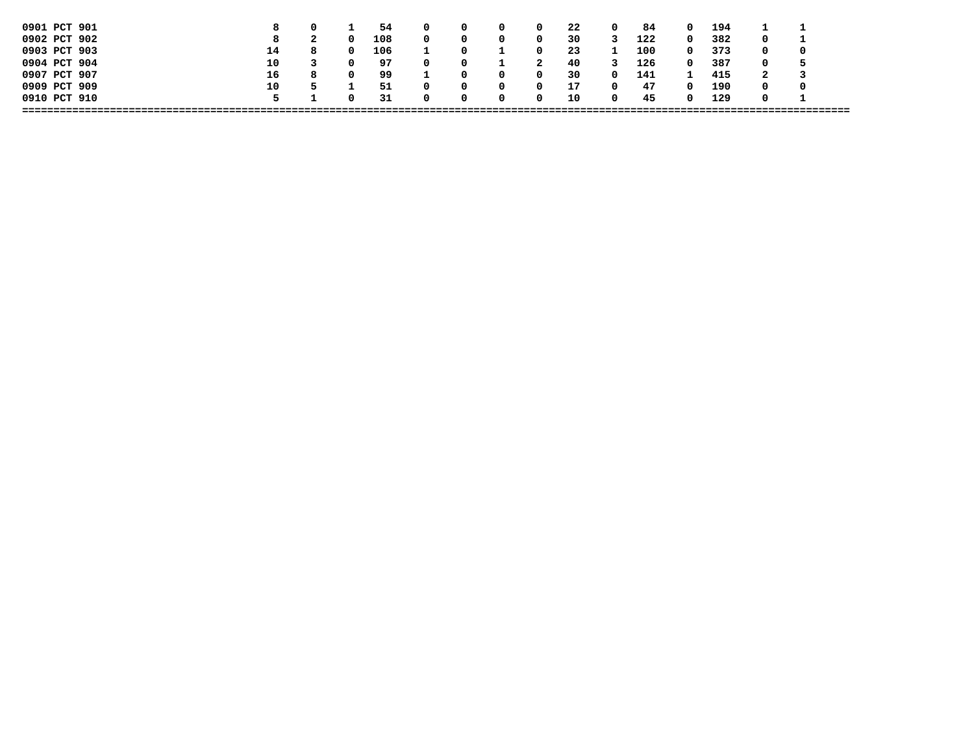| 0901 PCT 901 |    | 0 |   | 54  |              |   | 0            | 22  | 0            | 84  |              | 194 |   |   |
|--------------|----|---|---|-----|--------------|---|--------------|-----|--------------|-----|--------------|-----|---|---|
| 0902 PCT 902 | 8  |   |   | 108 |              |   | 0            | 30  |              | 122 | 0            | 382 |   |   |
| 0903 PCT 903 | 14 | 8 |   | 106 |              |   | 0            | -23 |              | 100 | 0            | 373 |   | 0 |
| 0904 PCT 904 | 10 |   |   | 97  | <sup>0</sup> |   | 2            | 40  |              | 126 | 0            | 387 |   |   |
| 0907 PCT 907 | 16 | 8 | 0 | 99  |              |   | 0            | 30  | <sup>0</sup> | 141 |              | 415 | ∼ |   |
| 0909 PCT 909 | 10 |   |   | -51 |              |   | 0            | 17  |              | 47  |              | 190 |   | 0 |
| 0910 PCT 910 | 5. |   |   | -31 |              | n | <sup>0</sup> | 10  | n            | 45  | <sup>n</sup> | 129 |   |   |
|              |    |   |   |     |              |   |              |     |              |     |              |     |   |   |